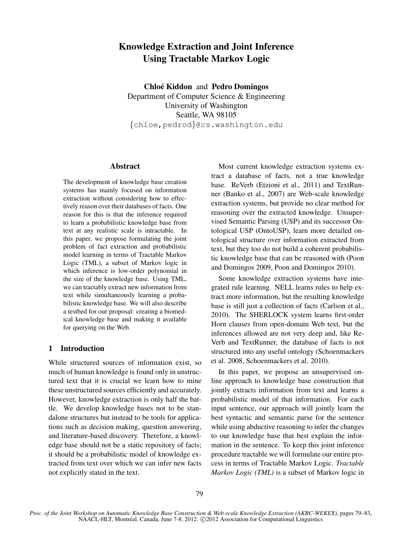# Knowledge Extraction and Joint Inference Using Tractable Markov Logic

Chloé Kiddon and Pedro Domingos Department of Computer Science & Engineering University of Washington Seattle, WA 98105 {chloe,pedrod}@cs.washington.edu

## Abstract

The development of knowledge base creation systems has mainly focused on information extraction without considering how to effectively reason over their databases of facts. One reason for this is that the inference required to learn a probabilistic knowledge base from text at any realistic scale is intractable. In this paper, we propose formulating the joint problem of fact extraction and probabilistic model learning in terms of Tractable Markov Logic (TML), a subset of Markov logic in which inference is low-order polynomial in the size of the knowledge base. Using TML, we can tractably extract new information from text while simultaneously learning a probabilistic knowledge base. We will also describe a testbed for our proposal: creating a biomedical knowledge base and making it available for querying on the Web.

# 1 Introduction

While structured sources of information exist, so much of human knowledge is found only in unstructured text that it is crucial we learn how to mine these unstructured sources efficiently and accurately. However, knowledge extraction is only half the battle. We develop knowledge bases not to be standalone structures but instead to be tools for applications such as decision making, question answering, and literature-based discovery. Therefore, a knowledge base should not be a static repository of facts; it should be a probabilistic model of knowledge extracted from text over which we can infer new facts not explicitly stated in the text.

Most current knowledge extraction systems extract a database of facts, not a true knowledge base. ReVerb (Etzioni et al., 2011) and TextRunner (Banko et al., 2007) are Web-scale knowledge extraction systems, but provide no clear method for reasoning over the extracted knowledge. Unsupervised Semantic Parsing (USP) and its successor Ontological USP (OntoUSP), learn more detailed ontological structure over information extracted from text, but they too do not build a coherent probabilistic knowledge base that can be reasoned with (Poon and Domingos 2009, Poon and Domingos 2010).

Some knowledge extraction systems have integrated rule learning. NELL learns rules to help extract more information, but the resulting knowledge base is still just a collection of facts (Carlson et al., 2010). The SHERLOCK system learns first-order Horn clauses from open-domain Web text, but the inferences allowed are not very deep and, like Re-Verb and TextRunner, the database of facts is not structured into any useful ontology (Schoenmackers et al. 2008, Schoenmackers et al. 2010).

In this paper, we propose an unsupervised online approach to knowledge base construction that jointly extracts information from text and learns a probabilistic model of that information. For each input sentence, our approach will jointly learn the best syntactic and semantic parse for the sentence while using abductive reasoning to infer the changes to our knowledge base that best explain the information in the sentence. To keep this joint inference procedure tractable we will formulate our entire process in terms of Tractable Markov Logic. *Tractable Markov Logic (TML)* is a subset of Markov logic in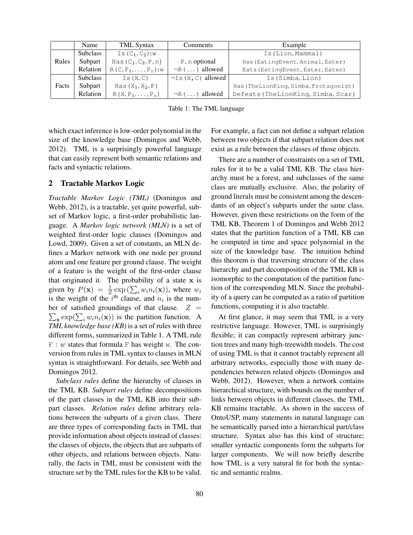|       | Name            | <b>TML</b> Syntax           | Comments                 | Example                               |
|-------|-----------------|-----------------------------|--------------------------|---------------------------------------|
|       | <b>Subclass</b> | Is $(C_1, C_2)$ :w          |                          | Is (Lion, Mammal)                     |
| Rules | Subpart         | Has $(C_1, C_2, P, n)$      | P, n optional            | Has (EatingEvent, Animal, Eater)      |
|       | Relation        | $R(C, P_1, \ldots, P_n):$ w | $\neg R(\ldots)$ allowed | Eats (EatingEvent, Eater, Eaten)      |
|       | <b>Subclass</b> | Is(X, C)                    | $\neg$ Is (X, C) allowed | Is (Simba, Lion)                      |
| Facts | Subpart         | Has $(X_1, X_2, P)$         |                          | Has (TheLionKing, Simba, Protagonist) |
|       | Relation        | $R(X, P_1, \ldots, P_n)$    | $\neg R(\ldots)$ allowed | Defeats (TheLionKing, Simba, Scar)    |

Table 1: The TML language

which exact inference is low-order polynomial in the size of the knowledge base (Domingos and Webb, 2012). TML is a surprisingly powerful language that can easily represent both semantic relations and facts and syntactic relations.

## 2 Tractable Markov Logic

*Tractable Markov Logic (TML)* (Domingos and Webb, 2012), is a tractable, yet quite powerful, subset of Markov logic, a first-order probabilistic language. A *Markov logic network (MLN)* is a set of weighted first-order logic clauses (Domingos and Lowd, 2009). Given a set of constants, an MLN defines a Markov network with one node per ground atom and one feature per ground clause. The weight of a feature is the weight of the first-order clause that originated it. The probability of a state  $x$  is given by  $P(\mathbf{x}) = \frac{1}{Z} \exp \left( \sum_i w_i n_i(\mathbf{x}) \right)$ , where  $w_i$ is the weight of the  $i^{\text{th}}$  clause, and  $n_i$  is the num- $\sum_{\mathbf{x}} \exp(\sum_i w_i n_i(\mathbf{x}))$  is the partition function. A ber of satisfied groundings of that clause.  $Z =$ *TML knowledge base (KB)* is a set of rules with three different forms, summarized in Table 1. A TML rule  $F : w$  states that formula  $F$  has weight w. The conversion from rules in TML syntax to clauses in MLN syntax is straightforward. For details, see Webb and Domingos 2012.

*Subclass rules* define the hierarchy of classes in the TML KB. *Subpart rules* define decompositions of the part classes in the TML KB into their subpart classes. *Relation rules* define arbitrary relations between the subparts of a given class. There are three types of corresponding facts in TML that provide information about objects instead of classes: the classes of objects, the objects that are subparts of other objects, and relations between objects. Naturally, the facts in TML must be consistent with the structure set by the TML rules for the KB to be valid.

For example, a fact can not define a subpart relation between two objects if that subpart relation does not exist as a rule between the classes of those objects.

There are a number of constraints on a set of TML rules for it to be a valid TML KB. The class hierarchy must be a forest, and subclasses of the same class are mutually exclusive. Also, the polarity of ground literals must be consistent among the descendants of an object's subparts under the same class. However, given these restrictions on the form of the TML KB, Theorem 1 of Domingos and Webb 2012 states that the partition function of a TML KB can be computed in time and space polynomial in the size of the knowledge base. The intuition behind this theorem is that traversing structure of the class hierarchy and part decomposition of the TML KB is isomorphic to the computation of the partition function of the corresponding MLN. Since the probability of a query can be computed as a ratio of partition functions, computing it is also tractable.

At first glance, it may seem that TML is a very restrictive language. However, TML is surprisingly flexible; it can compactly represent arbitrary junction trees and many high-treewidth models. The cost of using TML is that it cannot tractably represent all arbitrary networks, especially those with many dependencies between related objects (Domingos and Webb, 2012). However, when a network contains hierarchical structure, with bounds on the number of links between objects in different classes, the TML KB remains tractable. As shown in the success of OntoUSP, many statements in natural language can be semantically parsed into a hierarchical part/class structure. Syntax also has this kind of structure; smaller syntactic components form the subparts for larger components. We will now briefly describe how TML is a very natural fit for both the syntactic and semantic realms.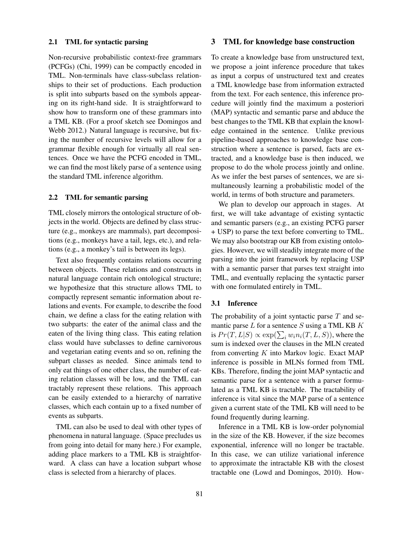#### 2.1 TML for syntactic parsing

Non-recursive probabilistic context-free grammars (PCFGs) (Chi, 1999) can be compactly encoded in TML. Non-terminals have class-subclass relationships to their set of productions. Each production is split into subparts based on the symbols appearing on its right-hand side. It is straightforward to show how to transform one of these grammars into a TML KB. (For a proof sketch see Domingos and Webb 2012.) Natural language is recursive, but fixing the number of recursive levels will allow for a grammar flexible enough for virtually all real sentences. Once we have the PCFG encoded in TML, we can find the most likely parse of a sentence using the standard TML inference algorithm.

#### 2.2 TML for semantic parsing

TML closely mirrors the ontological structure of objects in the world. Objects are defined by class structure (e.g., monkeys are mammals), part decompositions (e.g., monkeys have a tail, legs, etc.), and relations (e.g., a monkey's tail is between its legs).

Text also frequently contains relations occurring between objects. These relations and constructs in natural language contain rich ontological structure; we hypothesize that this structure allows TML to compactly represent semantic information about relations and events. For example, to describe the food chain, we define a class for the eating relation with two subparts: the eater of the animal class and the eaten of the living thing class. This eating relation class would have subclasses to define carnivorous and vegetarian eating events and so on, refining the subpart classes as needed. Since animals tend to only eat things of one other class, the number of eating relation classes will be low, and the TML can tractably represent these relations. This approach can be easily extended to a hierarchy of narrative classes, which each contain up to a fixed number of events as subparts.

TML can also be used to deal with other types of phenomena in natural language. (Space precludes us from going into detail for many here.) For example, adding place markers to a TML KB is straightforward. A class can have a location subpart whose class is selected from a hierarchy of places.

## 3 TML for knowledge base construction

To create a knowledge base from unstructured text, we propose a joint inference procedure that takes as input a corpus of unstructured text and creates a TML knowledge base from information extracted from the text. For each sentence, this inference procedure will jointly find the maximum a posteriori (MAP) syntactic and semantic parse and abduce the best changes to the TML KB that explain the knowledge contained in the sentence. Unlike previous pipeline-based approaches to knowledge base construction where a sentence is parsed, facts are extracted, and a knowledge base is then induced, we propose to do the whole process jointly and online. As we infer the best parses of sentences, we are simultaneously learning a probabilistic model of the world, in terms of both structure and parameters.

We plan to develop our approach in stages. At first, we will take advantage of existing syntactic and semantic parsers (e.g., an existing PCFG parser + USP) to parse the text before converting to TML. We may also bootstrap our KB from existing ontologies. However, we will steadily integrate more of the parsing into the joint framework by replacing USP with a semantic parser that parses text straight into TML, and eventually replacing the syntactic parser with one formulated entirely in TML.

### 3.1 Inference

The probability of a joint syntactic parse  $T$  and semantic parse  $L$  for a sentence  $S$  using a TML KB  $K$ is  $Pr(T,L|S) \propto \exp(\sum_i w_i n_i(T,L,S))$ , where the sum is indexed over the clauses in the MLN created from converting  $K$  into Markov logic. Exact MAP inference is possible in MLNs formed from TML KBs. Therefore, finding the joint MAP syntactic and semantic parse for a sentence with a parser formulated as a TML KB is tractable. The tractability of inference is vital since the MAP parse of a sentence given a current state of the TML KB will need to be found frequently during learning.

Inference in a TML KB is low-order polynomial in the size of the KB. However, if the size becomes exponential, inference will no longer be tractable. In this case, we can utilize variational inference to approximate the intractable KB with the closest tractable one (Lowd and Domingos, 2010). How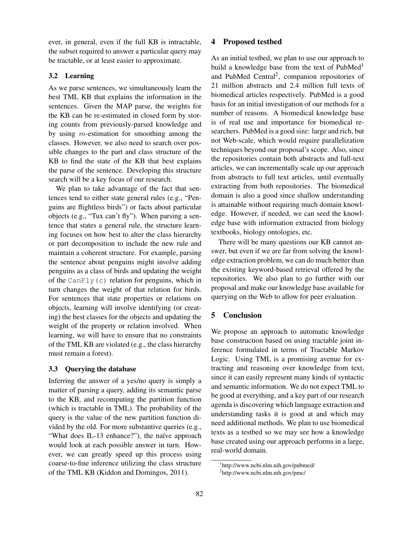ever, in general, even if the full KB is intractable, the subset required to answer a particular query may be tractable, or at least easier to approximate.

## 3.2 Learning

As we parse sentences, we simultaneously learn the best TML KB that explains the information in the sentences. Given the MAP parse, the weights for the KB can be re-estimated in closed form by storing counts from previously-parsed knowledge and by using  $m$ -estimation for smoothing among the classes. However, we also need to search over possible changes to the part and class structure of the KB to find the state of the KB that best explains the parse of the sentence. Developing this structure search will be a key focus of our research.

We plan to take advantage of the fact that sentences tend to either state general rules (e.g., "Penguins are flightless birds") or facts about particular objects (e.g., "Tux can't fly"). When parsing a sentence that states a general rule, the structure learning focuses on how best to alter the class hierarchy or part decomposition to include the new rule and maintain a coherent structure. For example, parsing the sentence about penguins might involve adding penguins as a class of birds and updating the weight of the CanFly(c) relation for penguins, which in turn changes the weight of that relation for birds. For sentences that state properties or relations on objects, learning will involve identifying (or creating) the best classes for the objects and updating the weight of the property or relation involved. When learning, we will have to ensure that no constraints of the TML KB are violated (e.g., the class hierarchy must remain a forest).

## 3.3 Querying the database

Inferring the answer of a yes/no query is simply a matter of parsing a query, adding its semantic parse to the KB, and recomputing the partition function (which is tractable in TML). The probability of the query is the value of the new partition function divided by the old. For more substantive queries (e.g., "What does IL-13 enhance?"), the naïve approach would look at each possible answer in turn. However, we can greatly speed up this process using coarse-to-fine inference utilizing the class structure of the TML KB (Kiddon and Domingos, 2011).

## 4 Proposed testbed

As an initial testbed, we plan to use our approach to build a knowledge base from the text of PubMed<sup>1</sup> and PubMed Central<sup>2</sup>, companion repositories of 21 million abstracts and 2.4 million full texts of biomedical articles respectively. PubMed is a good basis for an initial investigation of our methods for a number of reasons. A biomedical knowledge base is of real use and importance for biomedical researchers. PubMed is a good size: large and rich, but not Web-scale, which would require parallelization techniques beyond our proposal's scope. Also, since the repositories contain both abstracts and full-text articles, we can incrementally scale up our approach from abstracts to full text articles, until eventually extracting from both repositories. The biomedical domain is also a good since shallow understanding is attainable without requiring much domain knowledge. However, if needed, we can seed the knowledge base with information extracted from biology textbooks, biology ontologies, etc.

There will be many questions our KB cannot answer, but even if we are far from solving the knowledge extraction problem, we can do much better than the existing keyword-based retrieval offered by the repositories. We also plan to go further with our proposal and make our knowledge base available for querying on the Web to allow for peer evaluation.

## 5 Conclusion

We propose an approach to automatic knowledge base construction based on using tractable joint inference formulated in terms of Tractable Markov Logic. Using TML is a promising avenue for extracting and reasoning over knowledge from text, since it can easily represent many kinds of syntactic and semantic information. We do not expect TML to be good at everything, and a key part of our research agenda is discovering which language extraction and understanding tasks it is good at and which may need additional methods. We plan to use biomedical texts as a testbed so we may see how a knowledge base created using our approach performs in a large, real-world domain.

<sup>1</sup> http://www.ncbi.nlm.nih.gov/pubmed/

<sup>&</sup>lt;sup>2</sup>http://www.ncbi.nlm.nih.gov/pmc/